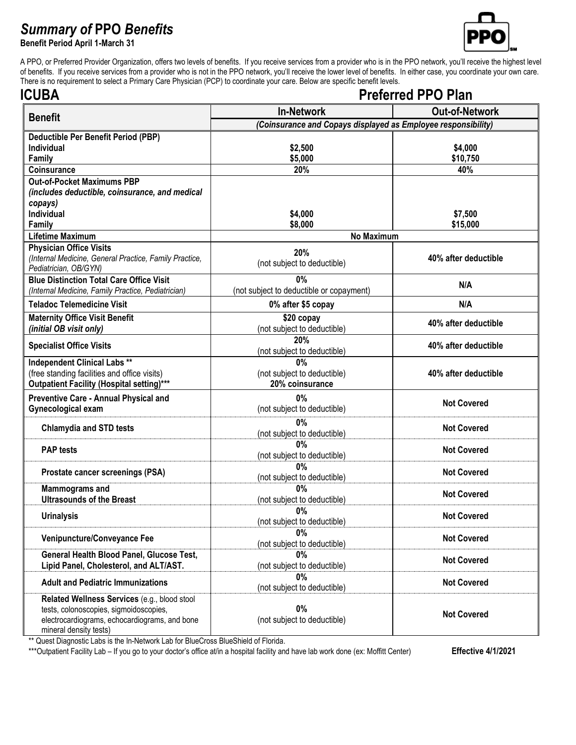## *Summary of* **PPO** *Benefits*

**Benefit Period April 1-March 31**



A PPO, or Preferred Provider Organization, offers two levels of benefits. If you receive services from a provider who is in the PPO network, you'll receive the highest level of benefits. If you receive services from a provider who is not in the PPO network, you'll receive the lower level of benefits. In either case, you coordinate your own care. There is no requirement to select a Primary Care Physician (PCP) to coordinate your care. Below are specific benefit levels.

| ICUBA                                                                                            | <b>Preferred PPO Plan</b>                                     |                       |  |
|--------------------------------------------------------------------------------------------------|---------------------------------------------------------------|-----------------------|--|
| <b>Benefit</b>                                                                                   | <b>In-Network</b>                                             | <b>Out-of-Network</b> |  |
|                                                                                                  | (Coinsurance and Copays displayed as Employee responsibility) |                       |  |
| <b>Deductible Per Benefit Period (PBP)</b>                                                       |                                                               |                       |  |
| <b>Individual</b>                                                                                | \$2,500                                                       | \$4,000               |  |
| Family                                                                                           | \$5,000                                                       | \$10,750              |  |
| Coinsurance                                                                                      | 20%                                                           | 40%                   |  |
| <b>Out-of-Pocket Maximums PBP</b>                                                                |                                                               |                       |  |
| (includes deductible, coinsurance, and medical                                                   |                                                               |                       |  |
| copays)<br><b>Individual</b>                                                                     | \$4,000                                                       | \$7,500               |  |
| Family                                                                                           | \$8,000                                                       | \$15,000              |  |
| Lifetime Maximum                                                                                 | <b>No Maximum</b>                                             |                       |  |
| <b>Physician Office Visits</b>                                                                   |                                                               |                       |  |
| (Internal Medicine, General Practice, Family Practice,                                           | 20%                                                           | 40% after deductible  |  |
| Pediatrician, OB/GYN)                                                                            | (not subject to deductible)                                   |                       |  |
| <b>Blue Distinction Total Care Office Visit</b>                                                  | 0%                                                            | N/A                   |  |
| (Internal Medicine, Family Practice, Pediatrician)                                               | (not subject to deductible or copayment)                      |                       |  |
| <b>Teladoc Telemedicine Visit</b>                                                                | 0% after \$5 copay                                            | N/A                   |  |
| <b>Maternity Office Visit Benefit</b>                                                            | \$20 copay                                                    |                       |  |
| (initial OB visit only)                                                                          | (not subject to deductible)                                   | 40% after deductible  |  |
| <b>Specialist Office Visits</b>                                                                  | 20%                                                           | 40% after deductible  |  |
|                                                                                                  | (not subject to deductible)                                   |                       |  |
| <b>Independent Clinical Labs **</b>                                                              | 0%                                                            |                       |  |
| (free standing facilities and office visits)<br><b>Outpatient Facility (Hospital setting)***</b> | (not subject to deductible)<br>20% coinsurance                | 40% after deductible  |  |
|                                                                                                  |                                                               |                       |  |
| <b>Preventive Care - Annual Physical and</b>                                                     | 0%                                                            | <b>Not Covered</b>    |  |
| Gynecological exam                                                                               | (not subject to deductible)                                   |                       |  |
| <b>Chlamydia and STD tests</b>                                                                   | 0%                                                            | <b>Not Covered</b>    |  |
|                                                                                                  | (not subject to deductible)                                   |                       |  |
| <b>PAP</b> tests                                                                                 | 0%<br>(not subject to deductible)                             | <b>Not Covered</b>    |  |
|                                                                                                  | 0%                                                            |                       |  |
| Prostate cancer screenings (PSA)                                                                 | (not subject to deductible)                                   | <b>Not Covered</b>    |  |
| <b>Mammograms and</b>                                                                            | 0%                                                            |                       |  |
| <b>Ultrasounds of the Breast</b>                                                                 | (not subject to deductible)                                   | <b>Not Covered</b>    |  |
|                                                                                                  | 0%                                                            | <b>Not Covered</b>    |  |
| <b>Urinalysis</b>                                                                                | (not subject to deductible)                                   |                       |  |
| Venipuncture/Conveyance Fee                                                                      | $0\%$                                                         | <b>Not Covered</b>    |  |
|                                                                                                  | (not subject to deductible)                                   |                       |  |
| General Health Blood Panel, Glucose Test,                                                        | 0%                                                            | <b>Not Covered</b>    |  |
| Lipid Panel, Cholesterol, and ALT/AST.                                                           | (not subject to deductible)                                   |                       |  |
| <b>Adult and Pediatric Immunizations</b>                                                         | 0%<br>(not subject to deductible)                             | <b>Not Covered</b>    |  |
| Related Wellness Services (e.g., blood stool                                                     |                                                               |                       |  |
| tests, colonoscopies, sigmoidoscopies,                                                           | $0\%$                                                         |                       |  |
| electrocardiograms, echocardiograms, and bone                                                    | (not subject to deductible)                                   | <b>Not Covered</b>    |  |
| mineral density tests)                                                                           |                                                               |                       |  |

\*\* Quest Diagnostic Labs is the In-Network Lab for BlueCross BlueShield of Florida.

\*\*\*Outpatient Facility Lab - If you go to your doctor's office at/in a hospital facility and have lab work done (ex: Moffitt Center) **Effective 4/1/2021**